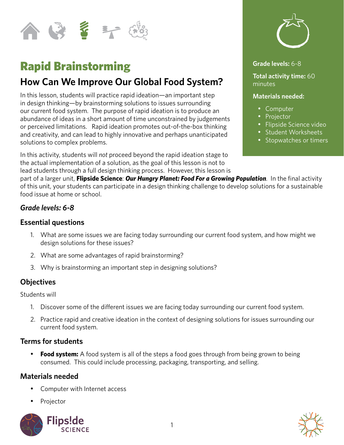

# Rapid Brainstorming

## **How Can We Improve Our Global Food System?**

In this lesson, students will practice rapid ideation—an important step in design thinking—by brainstorming solutions to issues surrounding our current food system. The purpose of rapid ideation is to produce an abundance of ideas in a short amount of time unconstrained by judgements or perceived limitations. Rapid ideation promotes out-of-the-box thinking and creativity, and can lead to highly innovative and perhaps unanticipated solutions to complex problems.

In this activity, students will *not* proceed beyond the rapid ideation stage to the actual implementation of a solution, as the goal of this lesson is not to lead students through a full design thinking process. However, this lesson is



#### **Grade levels:** 6-8

**Total activity time:** 60 minutes

#### **Materials needed:**

- • Computer
- Projector
- • Flipside Science video
- Student Worksheets
- Stopwatches or timers

part of a larger unit, **Flipside Science**: *Our Hungry Planet: Food For a Growing Population.* In the final activity of this unit, your students can participate in a design thinking challenge to develop solutions for a sustainable food issue at home or school.

#### *Grade levels: 6-8*

#### **Essential questions**

- 1. What are some issues we are facing today surrounding our current food system, and how might we design solutions for these issues?
- 2. What are some advantages of rapid brainstorming?
- 3. Why is brainstorming an important step in designing solutions?

#### **Objectives**

Students will

- 1. Discover some of the different issues we are facing today surrounding our current food system.
- 2. Practice rapid and creative ideation in the context of designing solutions for issues surrounding our current food system.

#### **Terms for students**

**• Food system:** A food system is all of the steps a food goes through from being grown to being consumed. This could include processing, packaging, transporting, and selling.

#### **Materials needed**

- Computer with Internet access
- Projector



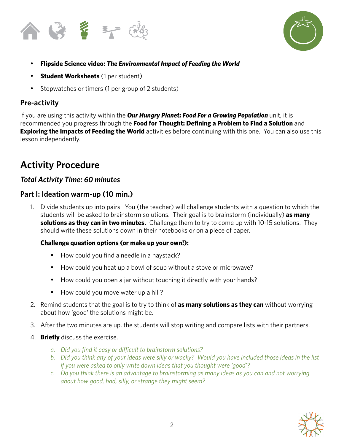



- **Flipside Science video: The Environmental Impact of Feeding the World**
- • **Student Worksheets** (1 per student)
- Stopwatches or timers (1 per group of 2 students)

## **Pre-activity**

If you are using this activity within the *Our Hungry Planet: Food For a Growing Population* unit, it is recommended you progress through the **Food for Thought: Defining a Problem to Find a Solution** and **Exploring the Impacts of Feeding the World** activities before continuing with this one. You can also use this lesson independently.

## **Activity Procedure**

## *Total Activity Time: 60 minutes*

#### **Part I: Ideation warm-up (10 min.)**

1. Divide students up into pairs. You (the teacher) will challenge students with a question to which the students will be asked to brainstorm solutions. Their goal is to brainstorm (individually) **as many solutions as they can in two minutes.** Challenge them to try to come up with 10-15 solutions. They should write these solutions down in their notebooks or on a piece of paper.

#### **Challenge question options (or make up your own!):**

- How could you find a needle in a haystack?
- How could you heat up a bowl of soup without a stove or microwave?
- How could you open a jar without touching it directly with your hands?
- How could you move water up a hill?
- 2. Remind students that the goal is to try to think of **as many solutions as they can** without worrying about how 'good' the solutions might be.
- 3. After the two minutes are up, the students will stop writing and compare lists with their partners.
- 4. **Briefly** discuss the exercise.
	- *a. Did you find it easy or difficult to brainstorm solutions?*
	- *b. Did you think any of your ideas were silly or wacky? Would you have included those ideas in the list if you were asked to only write down ideas that you thought were 'good'?*
	- *c. Do you think there is an advantage to brainstorming as many ideas as you can and not worrying about how good, bad, silly, or strange they might seem?*

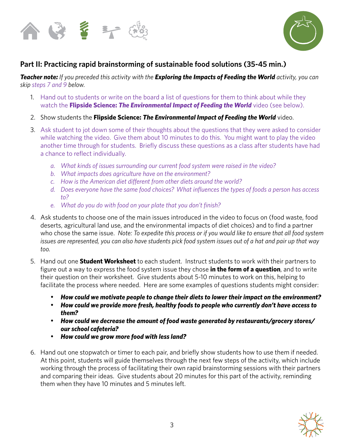



## **Part II: Practicing rapid brainstorming of sustainable food solutions (35-45 min.)**

*Teacher note: If you preceded this activity with the Exploring the Impacts of Feeding the World activity, you can skip steps 7 and 9 below.* 

- 1. Hand out to students or write on the board a list of questions for them to think about while they watch the **Flipside Science:** *The Environmental Impact of Feeding the World* video (see below).
- 2. Show students the **Flipside Science:** *The Environmental Impact of Feeding the World* video.
- 3. Ask student to jot down some of their thoughts about the questions that they were asked to consider while watching the video. Give them about 10 minutes to do this. You might want to play the video another time through for students. Briefly discuss these questions as a class after students have had a chance to reflect individually.
	- *a. What kinds of issues surrounding our current food system were raised in the video?*
	- *b. What impacts does agriculture have on the environment?*
	- *c. How is the American diet different from other diets around the world?*
	- *d. Does everyone have the same food choices? What influences the types of foods a person has access to?*
	- *e. What do you do with food on your plate that you don't finish?*
- 4. Ask students to choose one of the main issues introduced in the video to focus on (food waste, food deserts, agricultural land use, and the environmental impacts of diet choices) and to find a partner who chose the same issue. *Note: To expedite this process or if you would like to ensure that all food system issues are represented, you can also have students pick food system issues out of a hat and pair up that way too.*
- 5. Hand out one **Student Worksheet** to each student. Instruct students to work with their partners to figure out a way to express the food system issue they chose **in the form of a question**, and to write their question on their worksheet. Give students about 5-10 minutes to work on this, helping to facilitate the process where needed. Here are some examples of questions students might consider:
	- • *How could we motivate people to change their diets to lower their impact on the environment?*
	- • *How could we provide more fresh, healthy foods to people who currently don't have access to them?*
	- • *How could we decrease the amount of food waste generated by restaurants/grocery stores/ our school cafeteria?*
	- • *How could we grow more food with less land?*
- 6. Hand out one stopwatch or timer to each pair, and briefly show students how to use them if needed. At this point, students will guide themselves through the next few steps of the activity, which include working through the process of facilitating their own rapid brainstorming sessions with their partners and comparing their ideas. Give students about 20 minutes for this part of the activity, reminding them when they have 10 minutes and 5 minutes left.

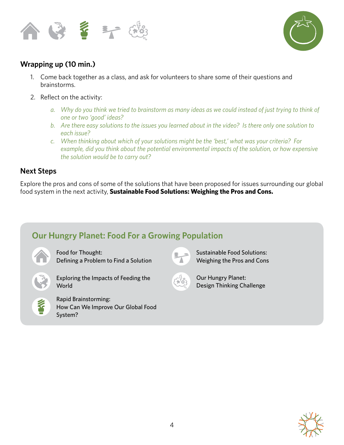



## **Wrapping up (10 min.)**

- 1. Come back together as a class, and ask for volunteers to share some of their questions and brainstorms.
- 2. Reflect on the activity:
	- *a. Why do you think we tried to brainstorm as many ideas as we could instead of just trying to think of one or two 'good' ideas?*
	- *b. Are there easy solutions to the issues you learned about in the video? Is there only one solution to each issue?*
	- *c. When thinking about which of your solutions might be the 'best,' what was your criteria? For example, did you think about the potential environmental impacts of the solution, or how expensive the solution would be to carry out?*

#### **Next Steps**

Explore the pros and cons of some of the solutions that have been proposed for issues surrounding our global food system in the next activity, **Sustainable Food Solutions: Weighing the Pros and Cons.**

## **Our Hungry Planet: Food For a Growing Population**



Food for Thought: Defining a Problem to Find a Solution



Exploring the Impacts of Feeding the **World** 



Rapid Brainstorming: How Can We Improve Our Global Food System?



Sustainable Food Solutions: Weighing the Pros and Cons



Our Hungry Planet: Design Thinking Challenge